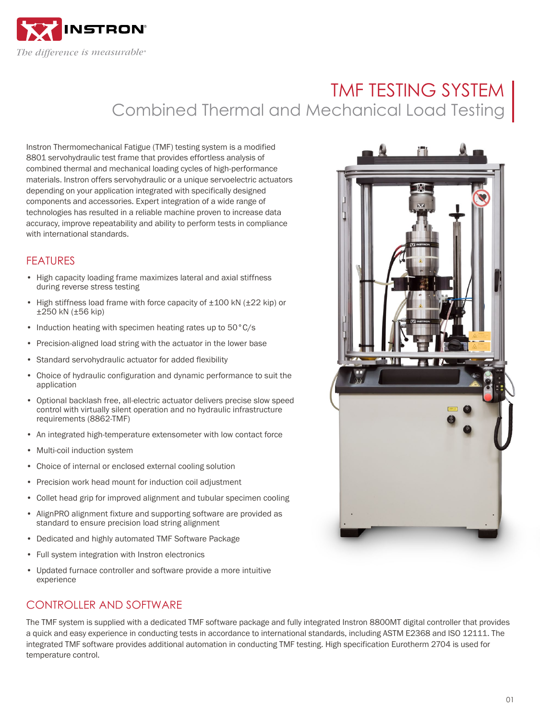

# TMF TESTING SYSTEM Combined Thermal and Mechanical Load Testing

Instron Thermomechanical Fatigue (TMF) testing system is a modified 8801 servohydraulic test frame that provides effortless analysis of combined thermal and mechanical loading cycles of high-performance materials. Instron offers servohydraulic or a unique servoelectric actuators depending on your application integrated with specifically designed components and accessories. Expert integration of a wide range of technologies has resulted in a reliable machine proven to increase data accuracy, improve repeatability and ability to perform tests in compliance with international standards.

# FEATURES

- High capacity loading frame maximizes lateral and axial stiffness during reverse stress testing
- High stiffness load frame with force capacity of  $\pm 100$  kN ( $\pm 22$  kip) or ±250 kN (±56 kip)
- Induction heating with specimen heating rates up to 50°C/s
- Precision-aligned load string with the actuator in the lower base
- Standard servohydraulic actuator for added flexibility
- Choice of hydraulic configuration and dynamic performance to suit the application
- Optional backlash free, all-electric actuator delivers precise slow speed control with virtually silent operation and no hydraulic infrastructure requirements (8862-TMF)
- An integrated high-temperature extensometer with low contact force
- Multi-coil induction system
- Choice of internal or enclosed external cooling solution
- Precision work head mount for induction coil adjustment
- Collet head grip for improved alignment and tubular specimen cooling
- AlignPRO alignment fixture and supporting software are provided as standard to ensure precision load string alignment
- Dedicated and highly automated TMF Software Package
- Full system integration with Instron electronics
- Updated furnace controller and software provide a more intuitive experience

# CONTROLLER AND SOFTWARE

The TMF system is supplied with a dedicated TMF software package and fully integrated Instron 8800MT digital controller that provides a quick and easy experience in conducting tests in accordance to international standards, including ASTM E2368 and ISO 12111. The integrated TMF software provides additional automation in conducting TMF testing. High specification Eurotherm 2704 is used for temperature control.

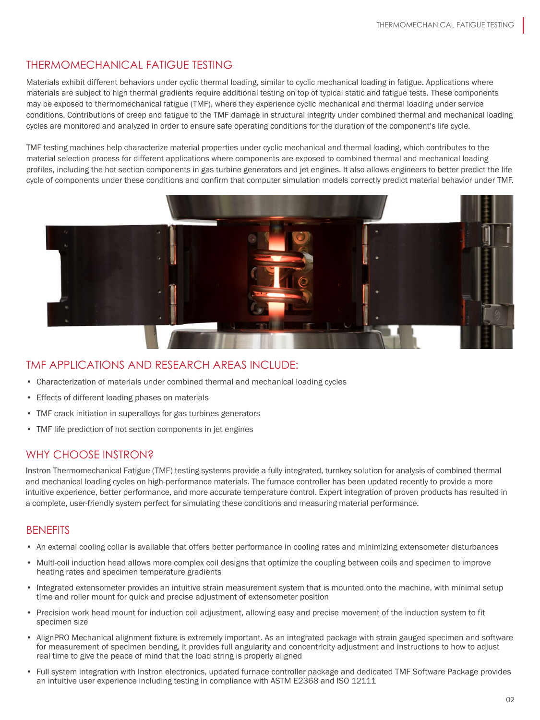# THERMOMECHANICAL FATIGUE TESTING

Materials exhibit different behaviors under cyclic thermal loading, similar to cyclic mechanical loading in fatigue. Applications where materials are subject to high thermal gradients require additional testing on top of typical static and fatigue tests. These components may be exposed to thermomechanical fatigue (TMF), where they experience cyclic mechanical and thermal loading under service conditions. Contributions of creep and fatigue to the TMF damage in structural integrity under combined thermal and mechanical loading cycles are monitored and analyzed in order to ensure safe operating conditions for the duration of the component's life cycle.

TMF testing machines help characterize material properties under cyclic mechanical and thermal loading, which contributes to the material selection process for different applications where components are exposed to combined thermal and mechanical loading profiles, including the hot section components in gas turbine generators and jet engines. It also allows engineers to better predict the life cycle of components under these conditions and confirm that computer simulation models correctly predict material behavior under TMF.



#### TMF APPLICATIONS AND RESEARCH AREAS INCLUDE:

- Characterization of materials under combined thermal and mechanical loading cycles
- Effects of different loading phases on materials
- TMF crack initiation in superalloys for gas turbines generators
- TMF life prediction of hot section components in jet engines

#### WHY CHOOSE INSTRON?

Instron Thermomechanical Fatigue (TMF) testing systems provide a fully integrated, turnkey solution for analysis of combined thermal and mechanical loading cycles on high-performance materials. The furnace controller has been updated recently to provide a more intuitive experience, better performance, and more accurate temperature control. Expert integration of proven products has resulted in a complete, user-friendly system perfect for simulating these conditions and measuring material performance.

#### **BENEFITS**

- An external cooling collar is available that offers better performance in cooling rates and minimizing extensometer disturbances
- Multi-coil induction head allows more complex coil designs that optimize the coupling between coils and specimen to improve heating rates and specimen temperature gradients
- Integrated extensometer provides an intuitive strain measurement system that is mounted onto the machine, with minimal setup time and roller mount for quick and precise adjustment of extensometer position
- Precision work head mount for induction coil adjustment, allowing easy and precise movement of the induction system to fit specimen size
- AlignPRO Mechanical alignment fixture is extremely important. As an integrated package with strain gauged specimen and software for measurement of specimen bending, it provides full angularity and concentricity adjustment and instructions to how to adjust real time to give the peace of mind that the load string is properly aligned
- Full system integration with Instron electronics, updated furnace controller package and dedicated TMF Software Package provides an intuitive user experience including testing in compliance with ASTM E2368 and ISO 12111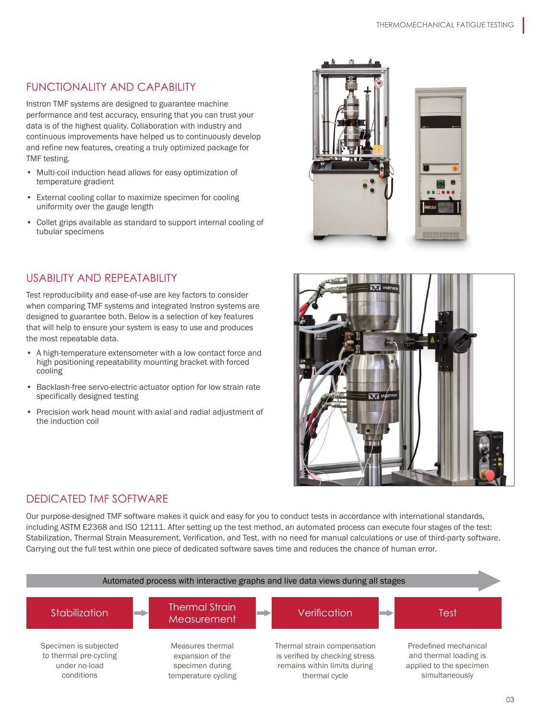# FUNCTIONALITY AND CAPABILITY

Instron TMF systems are designed to guarantee machine performance and test accuracy, ensuring that you can trust your data is of the highest quality. Collaboration with industry and continuous improvements have helped us to continuously develop and refine new features, creating a truly optimized package for TMF testing.

- Multi-coil induction head allows for easy optimization of temperature gradient
- External cooling collar to maximize specimen for cooling uniformity over the gauge length
- Collet grips available as standard to support internal cooling of tubular specimens

# USABILITY AND REPEATABILITY

Test reproducibility and ease-of-use are key factors to consider when comparing TMF systems and integrated Instron systems are designed to guarantee both. Below is a selection of key features that will help to ensure your system is easy to use and produces the most repeatable data.

- A high-temperature extensometer with a low contact force and high positioning repeatability mounting bracket with forced cooling
- Backlash-free servo-electric actuator option for low strain rate specifically designed testing
- Precision work head mount with axial and radial adjustment of the induction coil



# DEDICATED TMF SOFTWARE

Our purpose-designed TMF software makes it quick and easy for you to conduct tests in accordance with international standards, including ASTM E2368 and ISO 12111. After setting up the test method, an automated process can execute four stages of the test: Stabilization, Thermal Strain Measurement, Verification, and Test, with no need for manual calculations or use of third-party software. Carrying out the full test within one piece of dedicated software saves time and reduces the chance of human error.